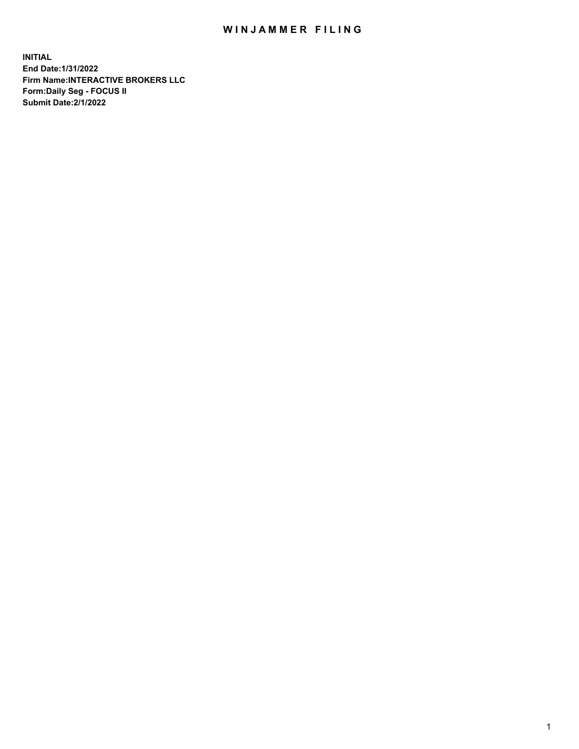## WIN JAMMER FILING

**INITIAL End Date:1/31/2022 Firm Name:INTERACTIVE BROKERS LLC Form:Daily Seg - FOCUS II Submit Date:2/1/2022**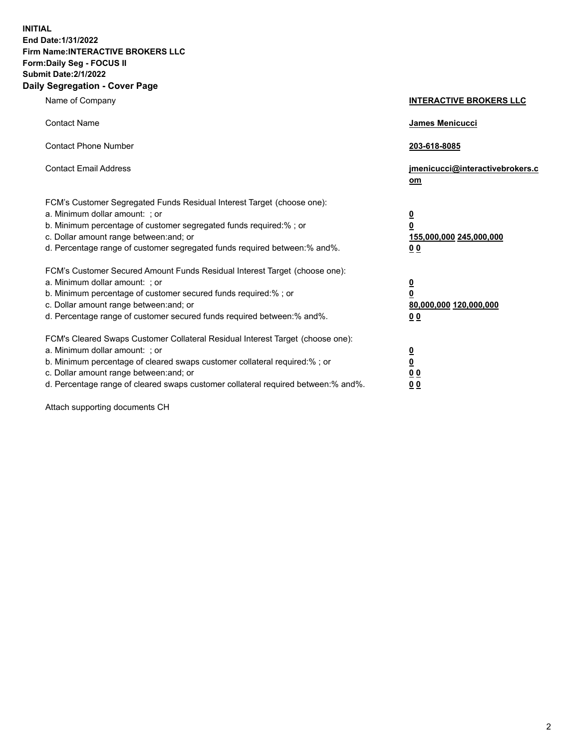**INITIAL End Date:1/31/2022 Firm Name:INTERACTIVE BROKERS LLC Form:Daily Seg - FOCUS II Submit Date:2/1/2022 Daily Segregation - Cover Page**

| Name of Company                                                                                                                                                                                                                                                                                                                | <b>INTERACTIVE BROKERS LLC</b>                                                                  |
|--------------------------------------------------------------------------------------------------------------------------------------------------------------------------------------------------------------------------------------------------------------------------------------------------------------------------------|-------------------------------------------------------------------------------------------------|
| <b>Contact Name</b>                                                                                                                                                                                                                                                                                                            | <b>James Menicucci</b>                                                                          |
| <b>Contact Phone Number</b>                                                                                                                                                                                                                                                                                                    | 203-618-8085                                                                                    |
| <b>Contact Email Address</b>                                                                                                                                                                                                                                                                                                   | jmenicucci@interactivebrokers.c<br>om                                                           |
| FCM's Customer Segregated Funds Residual Interest Target (choose one):<br>a. Minimum dollar amount: ; or<br>b. Minimum percentage of customer segregated funds required:% ; or<br>c. Dollar amount range between: and; or<br>d. Percentage range of customer segregated funds required between:% and%.                         | $\overline{\mathbf{0}}$<br>$\overline{\mathbf{0}}$<br>155,000,000 245,000,000<br>0 <sub>0</sub> |
| FCM's Customer Secured Amount Funds Residual Interest Target (choose one):<br>a. Minimum dollar amount: ; or<br>b. Minimum percentage of customer secured funds required:%; or<br>c. Dollar amount range between: and; or<br>d. Percentage range of customer secured funds required between:% and%.                            | $\overline{\mathbf{0}}$<br>$\mathbf 0$<br>80,000,000 120,000,000<br>0 <sub>0</sub>              |
| FCM's Cleared Swaps Customer Collateral Residual Interest Target (choose one):<br>a. Minimum dollar amount: ; or<br>b. Minimum percentage of cleared swaps customer collateral required:% ; or<br>c. Dollar amount range between: and; or<br>d. Percentage range of cleared swaps customer collateral required between:% and%. | $\overline{\mathbf{0}}$<br>$\underline{\mathbf{0}}$<br>0 <sub>0</sub><br>0 <sub>0</sub>         |

Attach supporting documents CH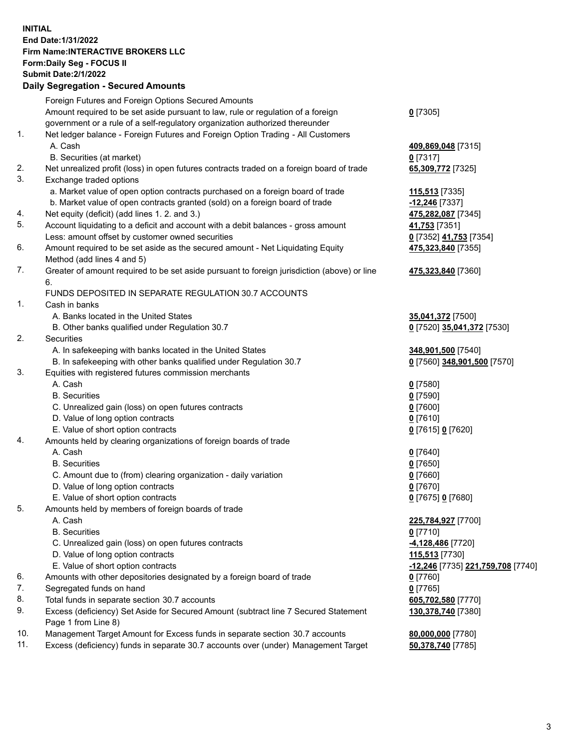**INITIAL End Date:1/31/2022 Firm Name:INTERACTIVE BROKERS LLC Form:Daily Seg - FOCUS II Submit Date:2/1/2022 Daily Segregation - Secured Amounts**

|     | Foreign Futures and Foreign Options Secured Amounts                                                                             |                                   |
|-----|---------------------------------------------------------------------------------------------------------------------------------|-----------------------------------|
|     | Amount required to be set aside pursuant to law, rule or regulation of a foreign                                                | $0$ [7305]                        |
|     | government or a rule of a self-regulatory organization authorized thereunder                                                    |                                   |
| 1.  | Net ledger balance - Foreign Futures and Foreign Option Trading - All Customers                                                 |                                   |
|     | A. Cash                                                                                                                         | 409,869,048 [7315]                |
|     | B. Securities (at market)                                                                                                       | $0$ [7317]                        |
| 2.  | Net unrealized profit (loss) in open futures contracts traded on a foreign board of trade                                       | 65,309,772 [7325]                 |
| 3.  | Exchange traded options                                                                                                         |                                   |
|     | a. Market value of open option contracts purchased on a foreign board of trade                                                  | 115,513 [7335]                    |
|     | b. Market value of open contracts granted (sold) on a foreign board of trade                                                    | -12,246 [7337]                    |
| 4.  | Net equity (deficit) (add lines 1. 2. and 3.)                                                                                   | 475,282,087 [7345]                |
| 5.  | Account liquidating to a deficit and account with a debit balances - gross amount                                               | 41,753 [7351]                     |
|     | Less: amount offset by customer owned securities                                                                                | 0 [7352] 41,753 [7354]            |
| 6.  | Amount required to be set aside as the secured amount - Net Liquidating Equity                                                  | 475,323,840 [7355]                |
|     | Method (add lines 4 and 5)                                                                                                      |                                   |
| 7.  | Greater of amount required to be set aside pursuant to foreign jurisdiction (above) or line                                     | 475,323,840 [7360]                |
|     | 6.                                                                                                                              |                                   |
|     | FUNDS DEPOSITED IN SEPARATE REGULATION 30.7 ACCOUNTS                                                                            |                                   |
| 1.  | Cash in banks                                                                                                                   |                                   |
|     | A. Banks located in the United States                                                                                           | 35,041,372 [7500]                 |
| 2.  | B. Other banks qualified under Regulation 30.7                                                                                  | 0 [7520] 35,041,372 [7530]        |
|     | Securities                                                                                                                      |                                   |
|     | A. In safekeeping with banks located in the United States<br>B. In safekeeping with other banks qualified under Regulation 30.7 | 348,901,500 [7540]                |
| 3.  |                                                                                                                                 | 0 [7560] 348,901,500 [7570]       |
|     | Equities with registered futures commission merchants<br>A. Cash                                                                |                                   |
|     | <b>B.</b> Securities                                                                                                            | $0$ [7580]<br>$0$ [7590]          |
|     | C. Unrealized gain (loss) on open futures contracts                                                                             | $0$ [7600]                        |
|     | D. Value of long option contracts                                                                                               | $0$ [7610]                        |
|     | E. Value of short option contracts                                                                                              | 0 [7615] 0 [7620]                 |
| 4.  | Amounts held by clearing organizations of foreign boards of trade                                                               |                                   |
|     | A. Cash                                                                                                                         | $0$ [7640]                        |
|     | <b>B.</b> Securities                                                                                                            | $0$ [7650]                        |
|     | C. Amount due to (from) clearing organization - daily variation                                                                 | $0$ [7660]                        |
|     | D. Value of long option contracts                                                                                               | $0$ [7670]                        |
|     | E. Value of short option contracts                                                                                              | 0 [7675] 0 [7680]                 |
| 5.  | Amounts held by members of foreign boards of trade                                                                              |                                   |
|     | A. Cash                                                                                                                         | 225,784,927 [7700]                |
|     | <b>B.</b> Securities                                                                                                            | $0$ [7710]                        |
|     | C. Unrealized gain (loss) on open futures contracts                                                                             | -4,128,486 [7720]                 |
|     | D. Value of long option contracts                                                                                               | 115,513 [7730]                    |
|     | E. Value of short option contracts                                                                                              | -12,246 [7735] 221,759,708 [7740] |
| 6.  | Amounts with other depositories designated by a foreign board of trade                                                          | $0$ [7760]                        |
| 7.  | Segregated funds on hand                                                                                                        | $0$ [7765]                        |
| 8.  | Total funds in separate section 30.7 accounts                                                                                   | 605,702,580 [7770]                |
| 9.  | Excess (deficiency) Set Aside for Secured Amount (subtract line 7 Secured Statement                                             | 130,378,740 [7380]                |
|     | Page 1 from Line 8)                                                                                                             |                                   |
| 10. | Management Target Amount for Excess funds in separate section 30.7 accounts                                                     | 80,000,000 [7780]                 |
| 11. | Excess (deficiency) funds in separate 30.7 accounts over (under) Management Target                                              | 50,378,740 [7785]                 |
|     |                                                                                                                                 |                                   |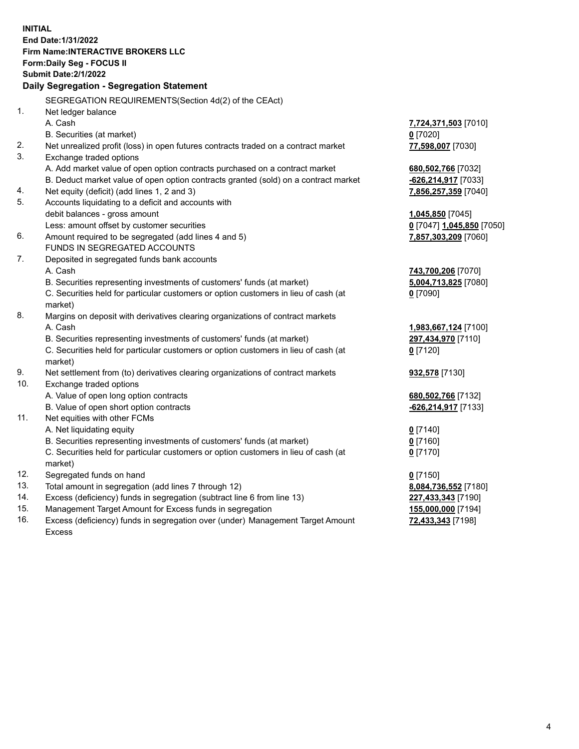**INITIAL End Date:1/31/2022 Firm Name:INTERACTIVE BROKERS LLC Form:Daily Seg - FOCUS II Submit Date:2/1/2022 Daily Segregation - Segregation Statement** SEGREGATION REQUIREMENTS(Section 4d(2) of the CEAct) 1. Net ledger balance A. Cash **7,724,371,503** [7010] B. Securities (at market) **0** [7020] 2. Net unrealized profit (loss) in open futures contracts traded on a contract market **77,598,007** [7030] 3. Exchange traded options A. Add market value of open option contracts purchased on a contract market **680,502,766** [7032] B. Deduct market value of open option contracts granted (sold) on a contract market **-626,214,917** [7033] 4. Net equity (deficit) (add lines 1, 2 and 3) **7,856,257,359** [7040] 5. Accounts liquidating to a deficit and accounts with debit balances - gross amount **1,045,850** [7045] Less: amount offset by customer securities **0** [7047] **1,045,850** [7050] 6. Amount required to be segregated (add lines 4 and 5) **7,857,303,209** [7060] FUNDS IN SEGREGATED ACCOUNTS 7. Deposited in segregated funds bank accounts A. Cash **743,700,206** [7070] B. Securities representing investments of customers' funds (at market) **5,004,713,825** [7080] C. Securities held for particular customers or option customers in lieu of cash (at market) **0** [7090] 8. Margins on deposit with derivatives clearing organizations of contract markets A. Cash **1,983,667,124** [7100] B. Securities representing investments of customers' funds (at market) **297,434,970** [7110] C. Securities held for particular customers or option customers in lieu of cash (at market) **0** [7120] 9. Net settlement from (to) derivatives clearing organizations of contract markets **932,578** [7130] 10. Exchange traded options A. Value of open long option contracts **680,502,766** [7132] B. Value of open short option contracts **-626,214,917** [7133] 11. Net equities with other FCMs A. Net liquidating equity **0** [7140] B. Securities representing investments of customers' funds (at market) **0** [7160] C. Securities held for particular customers or option customers in lieu of cash (at market) **0** [7170] 12. Segregated funds on hand **0** [7150] 13. Total amount in segregation (add lines 7 through 12) **8,084,736,552** [7180] 14. Excess (deficiency) funds in segregation (subtract line 6 from line 13) **227,433,343** [7190] 15. Management Target Amount for Excess funds in segregation **155,000,000** [7194]

16. Excess (deficiency) funds in segregation over (under) Management Target Amount Excess

**72,433,343** [7198]